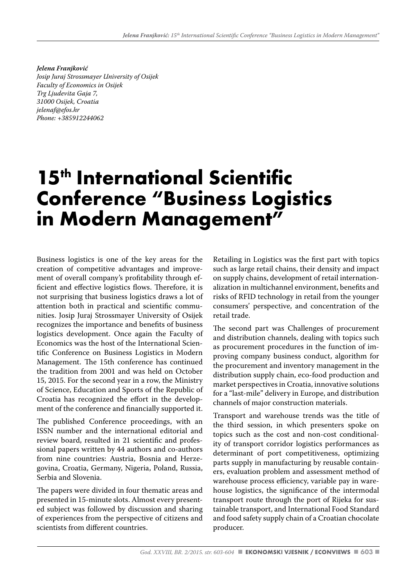*Jelena Franjković Josip Juraj Strossmayer University of Osijek Faculty of Economics in Osijek Trg Ljudevita Gaja 7, 31000 Osijek, Croatia jelenaf@efos.hr Phone: +385912244062*

## **15th International Scientific Conference "Business Logistics in Modern Management"**

Business logistics is one of the key areas for the creation of competitive advantages and improvement of overall company's profitability through efficient and effective logistics flows. Therefore, it is not surprising that business logistics draws a lot of attention both in practical and scientific communities. Josip Juraj Strossmayer University of Osijek recognizes the importance and benefits of business logistics development. Once again the Faculty of Economics was the host of the International Scientific Conference on Business Logistics in Modern Management. The 15th conference has continued the tradition from 2001 and was held on October 15, 2015. For the second year in a row, the Ministry of Science, Education and Sports of the Republic of Croatia has recognized the effort in the development of the conference and financially supported it.

The published Conference proceedings, with an ISSN number and the international editorial and review board, resulted in 21 scientific and professional papers written by 44 authors and co-authors from nine countries: Austria, Bosnia and Herzegovina, Croatia, Germany, Nigeria, Poland, Russia, Serbia and Slovenia.

The papers were divided in four thematic areas and presented in 15-minute slots. Almost every presented subject was followed by discussion and sharing of experiences from the perspective of citizens and scientists from different countries.

Retailing in Logistics was the first part with topics such as large retail chains, their density and impact on supply chains, development of retail internationalization in multichannel environment, benefits and risks of RFID technology in retail from the younger consumers' perspective, and concentration of the retail trade.

The second part was Challenges of procurement and distribution channels, dealing with topics such as procurement procedures in the function of improving company business conduct, algorithm for the procurement and inventory management in the distribution supply chain, eco-food production and market perspectives in Croatia, innovative solutions for a "last-mile" delivery in Europe, and distribution channels of major construction materials.

Transport and warehouse trends was the title of the third session, in which presenters spoke on topics such as the cost and non-cost conditionality of transport corridor logistics performances as determinant of port competitiveness, optimizing parts supply in manufacturing by reusable containers, evaluation problem and assessment method of warehouse process efficiency, variable pay in warehouse logistics, the significance of the intermodal transport route through the port of Rijeka for sustainable transport, and International Food Standard and food safety supply chain of a Croatian chocolate producer.